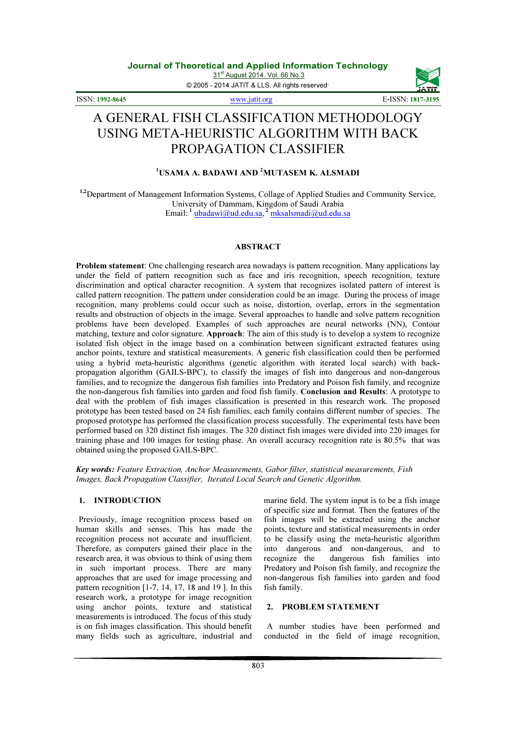© 2005 - 2014 JATIT & LLS. All rights reserved.

ISSN: 1992-8645 www.jatit.org E-ISSN: 1817-3195



# A GENERAL FISH CLASSIFICATION METHODOLOGY USING META-HEURISTIC ALGORITHM WITH BACK PROPAGATION CLASSIFIER

# <sup>1</sup>USAMA A. BADAWI AND <sup>2</sup>MUTASEM K. ALSMADI

<sup>1,2</sup>Department of Management Information Systems, Collage of Applied Studies and Community Service, University of Dammam, Kingdom of Saudi Arabia Email: <sup>1</sup> ubadawi@ud.edu.sa, <sup>2</sup> mksalsmadi@ud.edu.sa

# ABSTRACT

Problem statement: One challenging research area nowadays is pattern recognition. Many applications lay under the field of pattern recognition such as face and iris recognition, speech recognition, texture discrimination and optical character recognition. A system that recognizes isolated pattern of interest is called pattern recognition. The pattern under consideration could be an image. During the process of image recognition, many problems could occur such as noise, distortion, overlap, errors in the segmentation results and obstruction of objects in the image. Several approaches to handle and solve pattern recognition problems have been developed. Examples of such approaches are neural networks (NN), Contour matching, texture and color signature. Approach: The aim of this study is to develop a system to recognize isolated fish object in the image based on a combination between significant extracted features using anchor points, texture and statistical measurements. A generic fish classification could then be performed using a hybrid meta-heuristic algorithms (genetic algorithm with iterated local search) with backpropagation algorithm (GAILS-BPC), to classify the images of fish into dangerous and non-dangerous families, and to recognize the dangerous fish families into Predatory and Poison fish family, and recognize the non-dangerous fish families into garden and food fish family. Conclusion and Results: A prototype to deal with the problem of fish images classification is presented in this research work. The proposed prototype has been tested based on 24 fish families, each family contains different number of species. The proposed prototype has performed the classification process successfully. The experimental tests have been performed based on 320 distinct fish images. The 320 distinct fish images were divided into 220 images for training phase and 100 images for testing phase. An overall accuracy recognition rate is 80.5% that was obtained using the proposed GAILS-BPC.

Key words: Feature Extraction, Anchor Measurements, Gabor filter, statistical measurements, Fish Images, Back Propagation Classifier, Iterated Local Search and Genetic Algorithm.

# 1. INTRODUCTION

Previously, image recognition process based on human skills and senses. This has made the recognition process not accurate and insufficient. Therefore, as computers gained their place in the research area, it was obvious to think of using them in such important process. There are many approaches that are used for image processing and pattern recognition [1-7, 14, 17, 18 and 19 ]. In this research work, a prototype for image recognition using anchor points, texture and statistical measurements is introduced. The focus of this study is on fish images classification. This should benefit many fields such as agriculture, industrial and marine field. The system input is to be a fish image of specific size and format. Then the features of the fish images will be extracted using the anchor points, texture and statistical measurements in order to be classify using the meta-heuristic algorithm into dangerous and non-dangerous, and to recognize the dangerous fish families into Predatory and Poison fish family, and recognize the non-dangerous fish families into garden and food fish family.

# 2. PROBLEM STATEMENT

A number studies have been performed and conducted in the field of image recognition,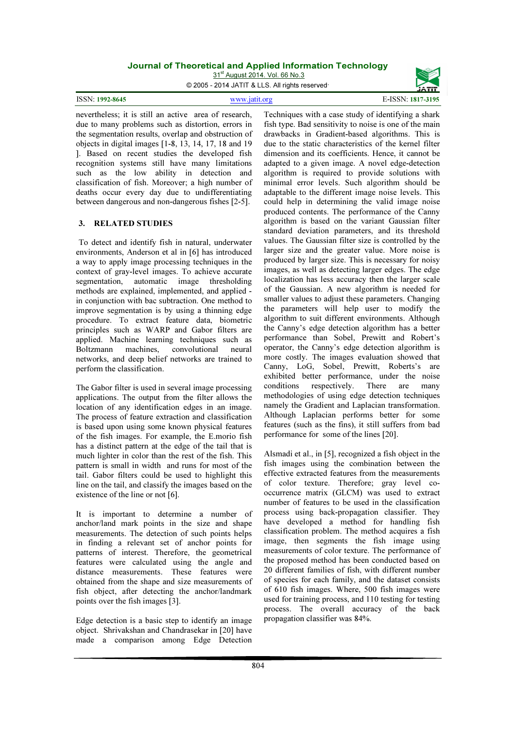31<sup>st</sup> August 2014. Vol. 66 No.3

© 2005 - 2014 JATIT & LLS. All rights reserved.





nevertheless; it is still an active area of research, due to many problems such as distortion, errors in the segmentation results, overlap and obstruction of objects in digital images [1-8, 13, 14, 17, 18 and 19 ]. Based on recent studies the developed fish recognition systems still have many limitations such as the low ability in detection and classification of fish. Moreover; a high number of deaths occur every day due to undifferentiating between dangerous and non-dangerous fishes [2-5].

#### 3. RELATED STUDIES

To detect and identify fish in natural, underwater environments, Anderson et al in [6] has introduced a way to apply image processing techniques in the context of gray-level images. To achieve accurate segmentation, automatic image thresholding methods are explained, implemented, and applied in conjunction with bac subtraction. One method to improve segmentation is by using a thinning edge procedure. To extract feature data, biometric principles such as WARP and Gabor filters are applied. Machine learning techniques such as Boltzmann machines, convolutional neural networks, and deep belief networks are trained to perform the classification.

The Gabor filter is used in several image processing applications. The output from the filter allows the location of any identification edges in an image. The process of feature extraction and classification is based upon using some known physical features of the fish images. For example, the E.morio fish has a distinct pattern at the edge of the tail that is much lighter in color than the rest of the fish. This pattern is small in width and runs for most of the tail. Gabor filters could be used to highlight this line on the tail, and classify the images based on the existence of the line or not [6].

It is important to determine a number of anchor/land mark points in the size and shape measurements. The detection of such points helps in finding a relevant set of anchor points for patterns of interest. Therefore, the geometrical features were calculated using the angle and distance measurements. These features were obtained from the shape and size measurements of fish object, after detecting the anchor/landmark points over the fish images [3].

Edge detection is a basic step to identify an image object. Shrivakshan and Chandrasekar in [20] have made a comparison among Edge Detection

Techniques with a case study of identifying a shark fish type. Bad sensitivity to noise is one of the main drawbacks in Gradient-based algorithms. This is due to the static characteristics of the kernel filter dimension and its coefficients. Hence, it cannot be adapted to a given image. A novel edge-detection algorithm is required to provide solutions with minimal error levels. Such algorithm should be adaptable to the different image noise levels. This could help in determining the valid image noise produced contents. The performance of the Canny algorithm is based on the variant Gaussian filter standard deviation parameters, and its threshold values. The Gaussian filter size is controlled by the larger size and the greater value. More noise is produced by larger size. This is necessary for noisy images, as well as detecting larger edges. The edge localization has less accuracy then the larger scale of the Gaussian. A new algorithm is needed for smaller values to adjust these parameters. Changing the parameters will help user to modify the algorithm to suit different environments. Although the Canny's edge detection algorithm has a better performance than Sobel, Prewitt and Robert's operator, the Canny's edge detection algorithm is more costly. The images evaluation showed that Canny, LoG, Sobel, Prewitt, Roberts's are exhibited better performance, under the noise conditions respectively. There are many methodologies of using edge detection techniques namely the Gradient and Laplacian transformation. Although Laplacian performs better for some features (such as the fins), it still suffers from bad performance for some of the lines [20].

Alsmadi et al., in [5], recognized a fish object in the fish images using the combination between the effective extracted features from the measurements of color texture. Therefore; gray level cooccurrence matrix (GLCM) was used to extract number of features to be used in the classification process using back-propagation classifier. They have developed a method for handling fish classification problem. The method acquires a fish image, then segments the fish image using measurements of color texture. The performance of the proposed method has been conducted based on 20 different families of fish, with different number of species for each family, and the dataset consists of 610 fish images. Where, 500 fish images were used for training process, and 110 testing for testing process. The overall accuracy of the back propagation classifier was 84%.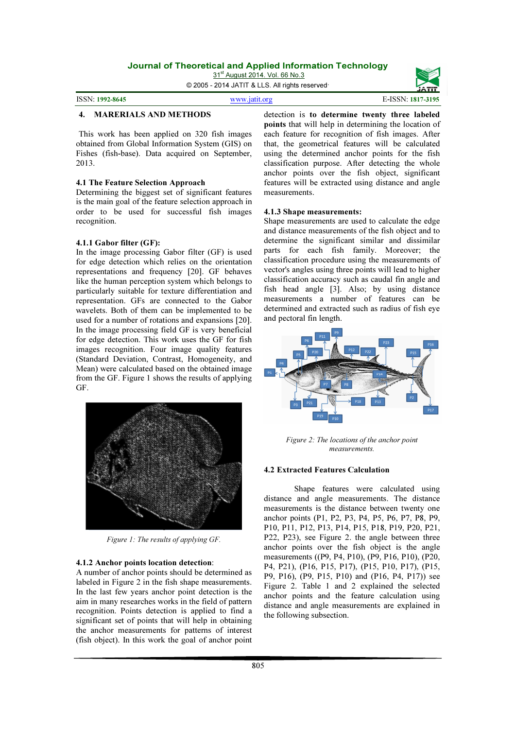31<sup>st</sup> August 2014. Vol. 66 No.3

© 2005 - 2014 JATIT & LLS. All rights reserved.

ISSN: 1992-8645 www.jatit.org E-ISSN: 1817-3195



#### 4. MARERIALS AND METHODS

This work has been applied on 320 fish images obtained from Global Information System (GIS) on Fishes (fish-base). Data acquired on September, 2013.

#### 4.1 The Feature Selection Approach

Determining the biggest set of significant features is the main goal of the feature selection approach in order to be used for successful fish images recognition.

#### 4.1.1 Gabor filter (GF):

In the image processing Gabor filter (GF) is used for edge detection which relies on the orientation representations and frequency [20]. GF behaves like the human perception system which belongs to particularly suitable for texture differentiation and representation. GFs are connected to the Gabor wavelets. Both of them can be implemented to be used for a number of rotations and expansions [20]. In the image processing field GF is very beneficial for edge detection. This work uses the GF for fish images recognition. Four image quality features (Standard Deviation, Contrast, Homogeneity, and Mean) were calculated based on the obtained image from the GF. Figure 1 shows the results of applying GF.



Figure 1: The results of applying GF.

#### 4.1.2 Anchor points location detection:

A number of anchor points should be determined as labeled in Figure 2 in the fish shape measurements. In the last few years anchor point detection is the aim in many researches works in the field of pattern recognition. Points detection is applied to find a significant set of points that will help in obtaining the anchor measurements for patterns of interest (fish object). In this work the goal of anchor point

detection is to determine twenty three labeled points that will help in determining the location of each feature for recognition of fish images. After that, the geometrical features will be calculated using the determined anchor points for the fish classification purpose. After detecting the whole anchor points over the fish object, significant features will be extracted using distance and angle measurements.

#### 4.1.3 Shape measurements:

Shape measurements are used to calculate the edge and distance measurements of the fish object and to determine the significant similar and dissimilar parts for each fish family. Moreover; the classification procedure using the measurements of vector's angles using three points will lead to higher classification accuracy such as caudal fin angle and fish head angle [3]. Also; by using distance measurements a number of features can be determined and extracted such as radius of fish eye and pectoral fin length.



Figure 2: The locations of the anchor point measurements.

#### 4.2 Extracted Features Calculation

Shape features were calculated using distance and angle measurements. The distance measurements is the distance between twenty one anchor points (P1, P2, P3, P4, P5, P6, P7, P8, P9, P10, P11, P12, P13, P14, P15, P18, P19, P20, P21, P22, P23), see Figure 2. the angle between three anchor points over the fish object is the angle measurements ((P9, P4, P10), (P9, P16, P10), (P20, P4, P21), (P16, P15, P17), (P15, P10, P17), (P15, P9, P16), (P9, P15, P10) and (P16, P4, P17)) see Figure 2. Table 1 and 2 explained the selected anchor points and the feature calculation using distance and angle measurements are explained in the following subsection.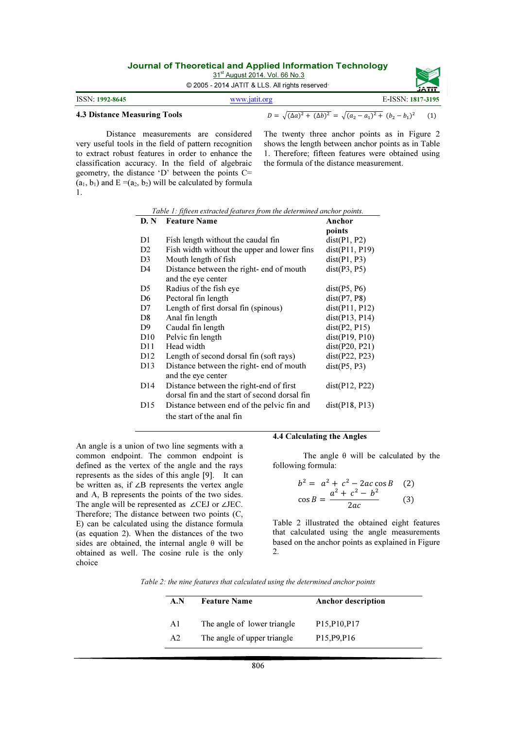31<sup>st</sup> August 2014. Vol. 66 No.3

© 2005 - 2014 JATIT & LLS. All rights reserved.

|                                     |               | <b>JAII</b>                                                                     |  |
|-------------------------------------|---------------|---------------------------------------------------------------------------------|--|
| <b>ISSN: 1992-8645</b>              | www.jatit.org | E-ISSN: 1817-3195                                                               |  |
| <b>4.3 Distance Measuring Tools</b> |               | $D = \sqrt{(\Delta a)^2 + (\Delta b)^2} = \sqrt{(a_2 - a_1)^2 + (b_2 - b_1)^2}$ |  |

Distance measurements are considered very useful tools in the field of pattern recognition to extract robust features in order to enhance the classification accuracy. In the field of algebraic geometry, the distance 'D' between the points C=  $(a_1, b_1)$  and  $E = (a_2, b_2)$  will be calculated by formula 1.

The twenty three anchor points as in Figure 2 shows the length between anchor points as in Table 1. Therefore; fifteen features were obtained using the formula of the distance measurement.

| D. N            | <b>Feature Name</b>                           | Anchor               |
|-----------------|-----------------------------------------------|----------------------|
|                 |                                               | points               |
| D1              | Fish length without the caudal fin            | dist(P1, P2)         |
| D <sub>2</sub>  | Fish width without the upper and lower fins   | dist(P11, P19)       |
| D <sub>3</sub>  | Mouth length of fish                          | dist(P1, P3)         |
| D <sub>4</sub>  | Distance between the right- end of mouth      | dist(P3, P5)         |
|                 | and the eye center                            |                      |
| D5              | Radius of the fish eye                        | dist(P5, P6)         |
| D <sub>6</sub>  | Pectoral fin length                           | dist(P7, P8)         |
| D7              | Length of first dorsal fin (spinous)          | dist(P11, P12)       |
| D8              | Anal fin length                               | dist(P13, P14)       |
| D9              | Caudal fin length                             | dist(P2, P15)        |
| D10             | Pelvic fin length                             | dist(P19, P10)       |
| D <sub>11</sub> | Head width                                    | dist(P20, P21)       |
| D <sub>12</sub> | Length of second dorsal fin (soft rays)       | dist(P22, P23)       |
| D <sub>13</sub> | Distance between the right- end of mouth      | dist(P5, P3)         |
|                 | and the eye center                            |                      |
| D <sub>14</sub> | Distance between the right-end of first       | $dist($ P12, P22 $)$ |
|                 | dorsal fin and the start of second dorsal fin |                      |
| D <sub>15</sub> | Distance between end of the pelvic fin and    | dist(P18, P13)       |
|                 | the start of the anal fin                     |                      |

Table 1: fifteen extracted features from the determined anchor points.

An angle is a union of two line segments with a common endpoint. The common endpoint is defined as the vertex of the angle and the rays represents as the sides of this angle [9]. It can be written as, if ∠B represents the vertex angle and A, B represents the points of the two sides. The angle will be represented as ∠CEJ or ∠JEC. Therefore; The distance between two points (C, E) can be calculated using the distance formula (as equation 2). When the distances of the two sides are obtained, the internal angle θ will be obtained as well. The cosine rule is the only choice

#### 4.4 Calculating the Angles

The angle  $\theta$  will be calculated by the following formula:

$$
b2 = a2 + c2 - 2ac cos B (2)
$$
  
\ncos B = 
$$
\frac{a2 + c2 - b2}{2ac}
$$
 (3)

Table 2 illustrated the obtained eight features that calculated using the angle measurements based on the anchor points as explained in Figure 2.

Table 2: the nine features that calculated using the determined anchor points

| A.N            | <b>Feature Name</b>         | <b>Anchor description</b>                           |
|----------------|-----------------------------|-----------------------------------------------------|
| A1             | The angle of lower triangle | P <sub>15</sub> , P <sub>10</sub> , P <sub>17</sub> |
| A <sub>2</sub> | The angle of upper triangle | P <sub>15</sub> , P <sub>9</sub> , P <sub>16</sub>  |

806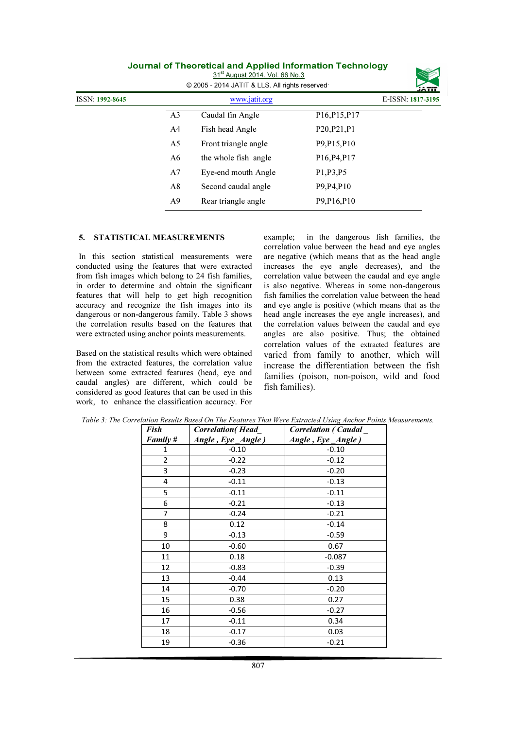|                 |                | 31 <sup>st</sup> August 2014. Vol. 66 No.3<br>© 2005 - 2014 JATIT & LLS. All rights reserved |                                                     | <b>JATIT</b>      |
|-----------------|----------------|----------------------------------------------------------------------------------------------|-----------------------------------------------------|-------------------|
| ISSN: 1992-8645 |                | www.jatit.org                                                                                |                                                     | E-ISSN: 1817-3195 |
|                 | A <sub>3</sub> | Caudal fin Angle                                                                             | P <sub>16</sub> , P <sub>15</sub> , P <sub>17</sub> |                   |
|                 | A4             | Fish head Angle                                                                              | P20, P21, P1                                        |                   |
|                 | A5             | Front triangle angle                                                                         | P <sub>9</sub> , P <sub>15</sub> , P <sub>10</sub>  |                   |
|                 | A6             | the whole fish angle                                                                         | P16, P4, P17                                        |                   |
|                 | A7             | Eye-end mouth Angle                                                                          | P <sub>1</sub> , P <sub>3</sub> , P <sub>5</sub>    |                   |
|                 | A8             | Second caudal angle                                                                          | P9, P4, P10                                         |                   |
|                 | A9             | Rear triangle angle                                                                          | P <sub>9</sub> , P <sub>16</sub> , P <sub>10</sub>  |                   |

#### 5. STATISTICAL MEASUREMENTS

In this section statistical measurements were conducted using the features that were extracted from fish images which belong to 24 fish families, in order to determine and obtain the significant features that will help to get high recognition accuracy and recognize the fish images into its dangerous or non-dangerous family. Table 3 shows the correlation results based on the features that were extracted using anchor points measurements.

Based on the statistical results which were obtained from the extracted features, the correlation value between some extracted features (head, eye and caudal angles) are different, which could be considered as good features that can be used in this work, to enhance the classification accuracy. For

example; in the dangerous fish families, the correlation value between the head and eye angles are negative (which means that as the head angle increases the eye angle decreases), and the correlation value between the caudal and eye angle is also negative. Whereas in some non-dangerous fish families the correlation value between the head and eye angle is positive (which means that as the head angle increases the eye angle increases), and the correlation values between the caudal and eye angles are also positive. Thus; the obtained correlation values of the extracted features are varied from family to another, which will increase the differentiation between the fish families (poison, non-poison, wild and food fish families).

| <b>Fish</b>    | <b>Correlation</b> (Head_ | <b>Correlation (Caudal</b> |
|----------------|---------------------------|----------------------------|
| Family #       | Angle, Eye_Angle)         | Angle, Eye_Angle)          |
| 1              | $-0.10$                   | $-0.10$                    |
| $\overline{2}$ | $-0.22$                   | $-0.12$                    |
| 3              | $-0.23$                   | $-0.20$                    |
| 4              | $-0.11$                   | $-0.13$                    |
| 5              | $-0.11$                   | $-0.11$                    |
| 6              | $-0.21$                   | $-0.13$                    |
| 7              | $-0.24$                   | $-0.21$                    |
| 8              | 0.12                      | $-0.14$                    |
| 9              | $-0.13$                   | $-0.59$                    |
| 10             | $-0.60$                   | 0.67                       |
| 11             | 0.18                      | $-0.087$                   |
| 12             | $-0.83$                   | $-0.39$                    |
| 13             | $-0.44$                   | 0.13                       |
| 14             | $-0.70$                   | $-0.20$                    |
| 15             | 0.38                      | 0.27                       |
| 16             | $-0.56$                   | $-0.27$                    |
| 17             | $-0.11$                   | 0.34                       |
| 18             | $-0.17$                   | 0.03                       |
| 19             | $-0.36$                   | $-0.21$                    |

Table 3: The Correlation Results Based On The Features That Were Extracted Using Anchor Points Measurements.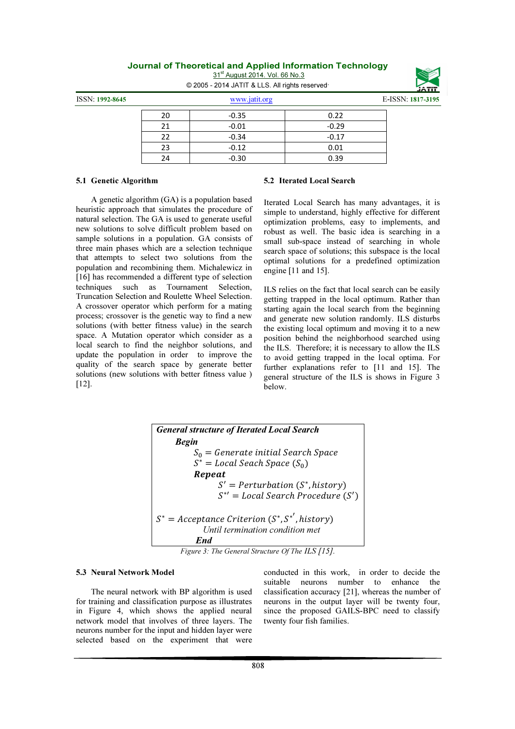31<sup>st</sup> August 2014. Vol. 66 No.3 © 2005 - 2014 JATIT & LLS. All rights reserved.



ISSN: 1992-8645 www.jatit.org E-ISSN: 1817-3195

| 20 | $-0.35$ | 0.22    |
|----|---------|---------|
| 21 | $-0.01$ | $-0.29$ |
| 22 | $-0.34$ | $-0.17$ |
| 23 | $-0.12$ | 0.01    |
| 24 | $-0.30$ | 0.39    |

#### 5.1 Genetic Algorithm

#### 5.2 Iterated Local Search

A genetic algorithm (GA) is a population based heuristic approach that simulates the procedure of natural selection. The GA is used to generate useful new solutions to solve difficult problem based on sample solutions in a population. GA consists of three main phases which are a selection technique that attempts to select two solutions from the population and recombining them. Michalewicz in [16] has recommended a different type of selection techniques such as Tournament Selection, Truncation Selection and Roulette Wheel Selection. A crossover operator which perform for a mating process; crossover is the genetic way to find a new solutions (with better fitness value) in the search space. A Mutation operator which consider as a local search to find the neighbor solutions, and update the population in order to improve the quality of the search space by generate better solutions (new solutions with better fitness value ) [12].

Iterated Local Search has many advantages, it is simple to understand, highly effective for different optimization problems, easy to implements, and robust as well. The basic idea is searching in a small sub-space instead of searching in whole search space of solutions; this subspace is the local optimal solutions for a predefined optimization engine [11 and 15].

ILS relies on the fact that local search can be easily getting trapped in the local optimum. Rather than starting again the local search from the beginning and generate new solution randomly. ILS disturbs the existing local optimum and moving it to a new position behind the neighborhood searched using the ILS. Therefore; it is necessary to allow the ILS to avoid getting trapped in the local optima. For further explanations refer to [11 and 15]. The general structure of the ILS is shows in Figure 3 below.

| <b>General structure of Iterated Local Search</b>                                             |
|-----------------------------------------------------------------------------------------------|
| <b>Begin</b>                                                                                  |
| $S_0$ = Generate initial Search Space                                                         |
| $S^*$ = Local Seach Space $(S_0)$                                                             |
| Repeat                                                                                        |
| $S' = Perturbation(S^*, history)$                                                             |
| $S^*$ = Local Search Procedure $(S')$                                                         |
| $S^*$ = Acceptance Criterion ( $S^*$ , $S^{*'}$ , history)<br>Until termination condition met |
| <b>Fnd</b>                                                                                    |
|                                                                                               |

Figure 3: The General Structure Of The ILS [15].

## 5.3 Neural Network Model

The neural network with BP algorithm is used for training and classification purpose as illustrates in Figure 4, which shows the applied neural network model that involves of three layers. The neurons number for the input and hidden layer were selected based on the experiment that were

conducted in this work, in order to decide the suitable neurons number to enhance the classification accuracy [21], whereas the number of neurons in the output layer will be twenty four, since the proposed GAILS-BPC need to classify twenty four fish families.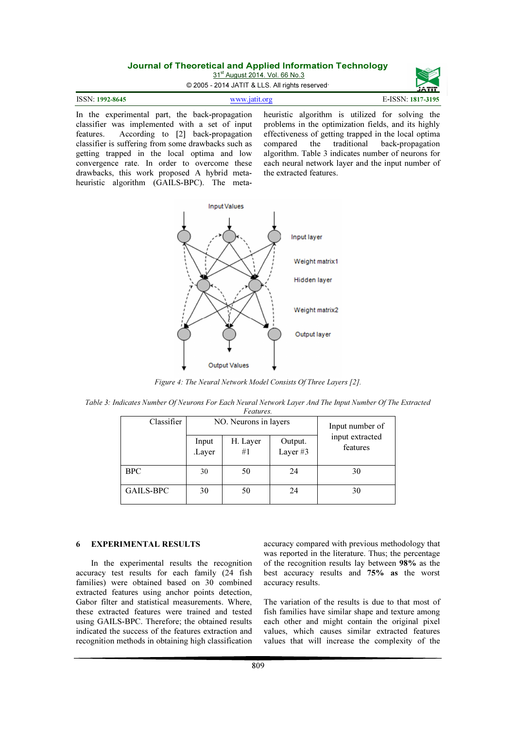31<sup>st</sup> August 2014. Vol. 66 No.3



© 2005 - 2014 JATIT & LLS. All rights reserved.

| <b>ISSN: 1992-8645</b> | www.jatit.org | E-ISSN: 1817-3195 |
|------------------------|---------------|-------------------|
|                        |               |                   |

In the experimental part, the back-propagation classifier was implemented with a set of input features. According to [2] back-propagation classifier is suffering from some drawbacks such as getting trapped in the local optima and low convergence rate. In order to overcome these drawbacks, this work proposed A hybrid metaheuristic algorithm (GAILS-BPC). The metaheuristic algorithm is utilized for solving the problems in the optimization fields, and its highly effectiveness of getting trapped in the local optima<br>compared the traditional back-propagation compared the traditional back-propagation algorithm. Table 3 indicates number of neurons for each neural network layer and the input number of the extracted features.

![](_page_6_Figure_7.jpeg)

Figure 4: The Neural Network Model Consists Of Three Layers [2].

| Table 3: Indicates Number Of Neurons For Each Neural Network Layer And The Input Number Of The Extracted |           |  |
|----------------------------------------------------------------------------------------------------------|-----------|--|
|                                                                                                          | Features. |  |

| Classifier       | NO. Neurons in layers |                | Input number of     |                             |
|------------------|-----------------------|----------------|---------------------|-----------------------------|
|                  | Input<br>.Layer       | H. Layer<br>#1 | Output.<br>Layer #3 | input extracted<br>features |
| <b>BPC</b>       | 30                    | 50             | 24                  | 30                          |
| <b>GAILS-BPC</b> | 30                    | 50             | 24                  | 30                          |

# 6 EXPERIMENTAL RESULTS

In the experimental results the recognition accuracy test results for each family (24 fish families) were obtained based on 30 combined extracted features using anchor points detection, Gabor filter and statistical measurements. Where, these extracted features were trained and tested using GAILS-BPC. Therefore; the obtained results indicated the success of the features extraction and recognition methods in obtaining high classification

accuracy compared with previous methodology that was reported in the literature. Thus; the percentage of the recognition results lay between 98% as the best accuracy results and 75% as the worst accuracy results.

The variation of the results is due to that most of fish families have similar shape and texture among each other and might contain the original pixel values, which causes similar extracted features values that will increase the complexity of the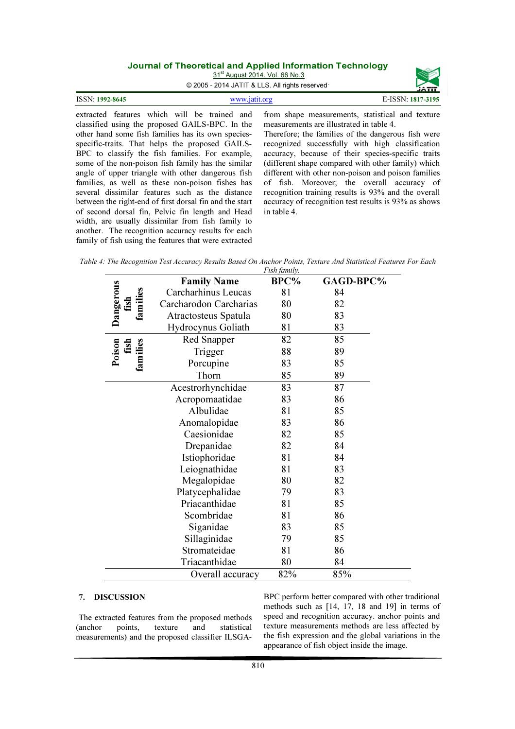|                        | <u>Journal Officercineal and Applied Imprimation Technology</u><br>31 <sup>st</sup> August 2014, Vol. 66 No.3<br>© 2005 - 2014 JATIT & LLS. All rights reserved | JATIT             |
|------------------------|-----------------------------------------------------------------------------------------------------------------------------------------------------------------|-------------------|
| <b>ISSN: 1992-8645</b> | www.jatit.org                                                                                                                                                   | E-ISSN: 1817-3195 |

extracted features which will be trained and classified using the proposed GAILS-BPC. In the other hand some fish families has its own speciesspecific-traits. That helps the proposed GAILS-BPC to classify the fish families. For example, some of the non-poison fish family has the similar angle of upper triangle with other dangerous fish families, as well as these non-poison fishes has several dissimilar features such as the distance between the right-end of first dorsal fin and the start of second dorsal fin, Pelvic fin length and Head width, are usually dissimilar from fish family to another. The recognition accuracy results for each family of fish using the features that were extracted

from shape measurements, statistical and texture measurements are illustrated in table 4.

Therefore; the families of the dangerous fish were recognized successfully with high classification accuracy, because of their species-specific traits (different shape compared with other family) which different with other non-poison and poison families of fish. Moreover; the overall accuracy of recognition training results is 93% and the overall accuracy of recognition test results is 93% as shows in table 4.

Table 4: The Recognition Test Accuracy Results Based On Anchor Points, Texture And Statistical Features For Each

|                               |                        | Fish family. |           |  |
|-------------------------------|------------------------|--------------|-----------|--|
|                               | <b>Family Name</b>     | BPC%         | GAGD-BPC% |  |
|                               | Carcharhinus Leucas    | 81           | 84        |  |
| Dangerous<br>families<br>fish | Carcharodon Carcharias | 80           | 82        |  |
|                               | Atractosteus Spatula   | 80           | 83        |  |
|                               | Hydrocynus Goliath     | 81           | 83        |  |
|                               | Red Snapper            | 82           | 85        |  |
| Poison<br>fish                | Trigger                | 88           | 89        |  |
| families                      | Porcupine              | 83           | 85        |  |
|                               | Thorn                  | 85           | 89        |  |
|                               | Acestrorhynchidae      | 83           | 87        |  |
|                               | Acropomaatidae         | 83           | 86        |  |
|                               | Albulidae              | 81           | 85        |  |
|                               | Anomalopidae           | 83           | 86        |  |
|                               | Caesionidae            | 82           | 85        |  |
|                               | Drepanidae             | 82           | 84        |  |
|                               | Istiophoridae          | 81           | 84        |  |
|                               | Leiognathidae          | 81           | 83        |  |
|                               | Megalopidae            | 80           | 82        |  |
|                               | Platycephalidae        | 79           | 83        |  |
|                               | Priacanthidae          | 81           | 85        |  |
|                               | Scombridae             | 81           | 86        |  |
|                               | Siganidae              | 83           | 85        |  |
|                               | Sillaginidae           | 79           | 85        |  |
|                               | Stromateidae           | 81           | 86        |  |
|                               | Triacanthidae          | 80           | 84        |  |
|                               | Overall accuracy       | 82%          | 85%       |  |

#### 7. DISCUSSION

The extracted features from the proposed methods (anchor points, texture and statistical measurements) and the proposed classifier ILSGA-

BPC perform better compared with other traditional methods such as [14, 17, 18 and 19] in terms of speed and recognition accuracy. anchor points and texture measurements methods are less affected by the fish expression and the global variations in the appearance of fish object inside the image.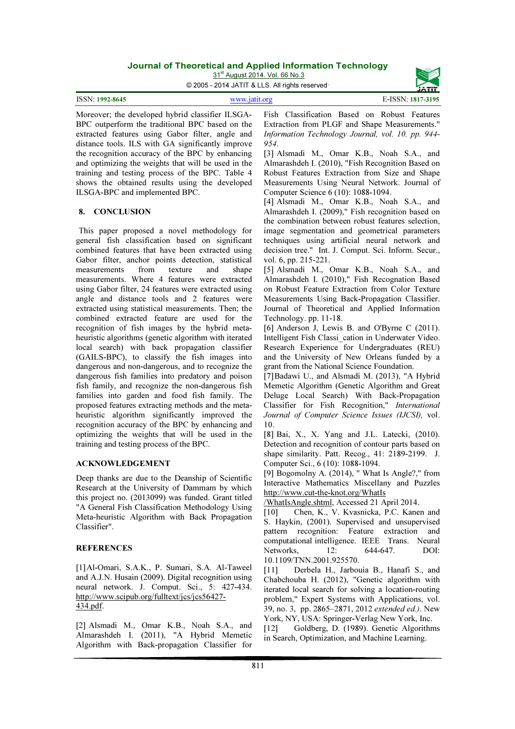31<sup>st</sup> August 2014. Vol. 66 No.3

© 2005 - 2014 JATIT & LLS. All rights reserved.

| ISSN: 1992-8645 | www.jatit.org | E-ISSN: 1817-3195 |
|-----------------|---------------|-------------------|
|                 |               |                   |

Moreover; the developed hybrid classifier ILSGA-BPC outperform the traditional BPC based on the extracted features using Gabor filter, angle and distance tools. ILS with GA significantly improve the recognition accuracy of the BPC by enhancing and optimizing the weights that will be used in the training and testing process of the BPC. Table 4 shows the obtained results using the developed ILSGA-BPC and implemented BPC.

#### 8. CONCLUSION

This paper proposed a novel methodology for general fish classification based on significant combined features that have been extracted using Gabor filter, anchor points detection, statistical measurements from texture and shape measurements. Where 4 features were extracted using Gabor filter, 24 features were extracted using angle and distance tools and 2 features were extracted using statistical measurements. Then; the combined extracted feature are used for the recognition of fish images by the hybrid metaheuristic algorithms (genetic algorithm with iterated local search) with back propagation classifier (GAILS-BPC), to classify the fish images into dangerous and non-dangerous, and to recognize the dangerous fish families into predatory and poison fish family, and recognize the non-dangerous fish families into garden and food fish family. The proposed features extracting methods and the metaheuristic algorithm significantly improved the recognition accuracy of the BPC by enhancing and optimizing the weights that will be used in the training and testing process of the BPC.

#### ACKNOWLEDGEMENT

Deep thanks are due to the Deanship of Scientific Research at the University of Dammam by which this project no. (2013099) was funded. Grant titled "A General Fish Classification Methodology Using Meta-heuristic Algorithm with Back Propagation Classifier".

# **REFERENCES**

[1]Al-Omari, S.A.K., P. Sumari, S.A. Al-Taweel and A.J.N. Husain (2009). Digital recognition using neural network. J. Comput. Sci., 5: 427-434. http://www.scipub.org/fulltext/jcs/jcs56427- 434.pdf.

[2] Alsmadi M., Omar K.B., Noah S.A., and Almarashdeh I. (2011), "A Hybrid Memetic Algorithm with Back-propagation Classifier for

Fish Classification Based on Robust Features Extraction from PLGF and Shape Measurements." Information Technology Journal, vol. 10. pp. 944- 954.

[3] Alsmadi M., Omar K.B., Noah S.A., and Almarashdeh I. (2010), "Fish Recognition Based on Robust Features Extraction from Size and Shape Measurements Using Neural Network. Journal of Computer Science 6 (10): 1088-1094.

[4] Alsmadi M., Omar K.B., Noah S.A., and Almarashdeh I. (2009)," Fish recognition based on the combination between robust features selection, image segmentation and geometrical parameters techniques using artificial neural network and decision tree." Int. J. Comput. Sci. Inform. Secur., vol. 6, pp. 215-221.

[5] Alsmadi M., Omar K.B., Noah S.A., and Almarashdeh I. (2010)," Fish Recognation Based on Robust Feature Extraction from Color Texture Measurements Using Back-Propagation Classifier. Journal of Theoretical and Applied Information Technology. pp. 11-18.

[6] Anderson J, Lewis B. and O'Byrne C (2011). Intelligent Fish Classi\_cation in Underwater Video. Research Experience for Undergraduates (REU) and the University of New Orleans funded by a grant from the National Science Foundation.

[7]Badawi U., and Alsmadi M. (2013), "A Hybrid Memetic Algorithm (Genetic Algorithm and Great Deluge Local Search) With Back-Propagation Classifier for Fish Recognition," International Journal of Computer Science Issues (IJCSI), vol. 10.

[8] Bai, X., X. Yang and J.L. Latecki, (2010). Detection and recognition of contour parts based on shape similarity. Patt. Recog., 41: 2189-2199. J. Computer Sci., 6 (10): 1088-1094.

[9] Bogomolny A. (2014), " What Is Angle?," from Interactive Mathematics Miscellany and Puzzles http://www.cut-the-knot.org/WhatIs

/WhatIsAngle.shtml, Accessed 21 April 2014.

[10] Chen, K., V. Kvasnicka, P.C. Kanen and S. Haykin, (2001). Supervised and unsupervised pattern recognition: Feature extraction and computational intelligence. IEEE Trans. Neural Networks, 12: 644-647. DOI: 10.1109/TNN.2001.925570.

[11] Derbela H., Jarbouia B., Hanafi S., and Chabchouba H. (2012), "Genetic algorithm with iterated local search for solving a location-routing problem," Expert Systems with Applications, vol. 39, no. 3, pp. 2865–2871, 2012 extended ed.). New York, NY, USA: Springer-Verlag New York, Inc.

[12] Goldberg, D. (1989). Genetic Algorithms in Search, Optimization, and Machine Learning.